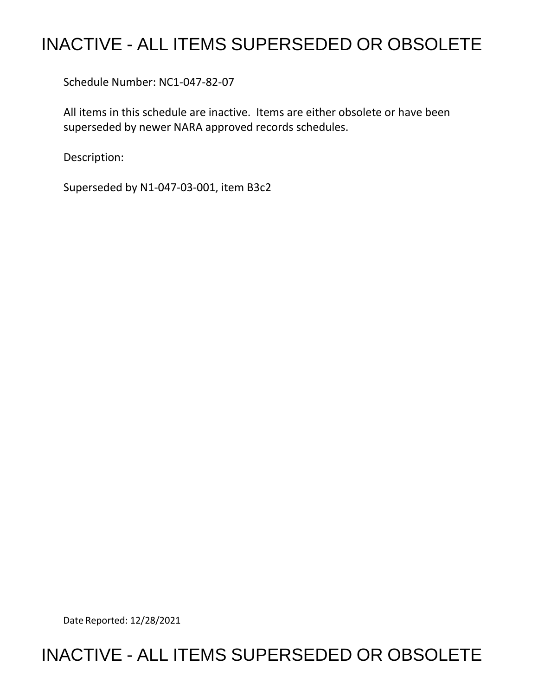## INACTIVE - ALL ITEMS SUPERSEDED OR OBSOLETE

Schedule Number: NC1-047-82-07

 All items in this schedule are inactive. Items are either obsolete or have been superseded by newer NARA approved records schedules.

Description:

Superseded by N1-047-03-001, item B3c2

Date Reported: 12/28/2021

## INACTIVE - ALL ITEMS SUPERSEDED OR OBSOLETE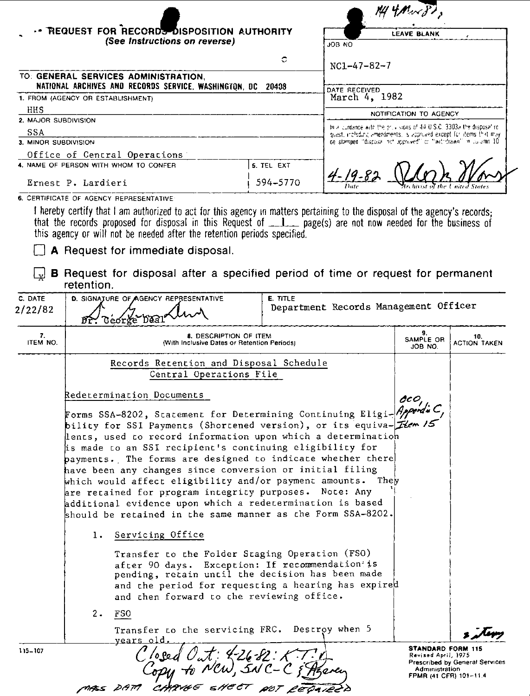|                                   |                                                                                                                                                                                                                                                                                                                         |                 |                                                                                                                                             | $M4$ $M4$                  |  |  |
|-----------------------------------|-------------------------------------------------------------------------------------------------------------------------------------------------------------------------------------------------------------------------------------------------------------------------------------------------------------------------|-----------------|---------------------------------------------------------------------------------------------------------------------------------------------|----------------------------|--|--|
|                                   | REQUEST FOR RECORDS DISPOSITION AUTHORITY                                                                                                                                                                                                                                                                               |                 |                                                                                                                                             | LEAVE BLANK                |  |  |
|                                   | (See Instructions on reverse)                                                                                                                                                                                                                                                                                           |                 | JOB NO                                                                                                                                      |                            |  |  |
|                                   |                                                                                                                                                                                                                                                                                                                         | с               | $NC1 - 47 - 82 - 7$                                                                                                                         |                            |  |  |
|                                   | TO: GENERAL SERVICES ADMINISTRATION,<br>NATIONAL ARCHIVES AND RECORDS SERVICE, WASHINGTON, DC 20408                                                                                                                                                                                                                     |                 | DATE RECEIVED                                                                                                                               |                            |  |  |
| 1. FROM (AGENCY OR ESTABLISHMENT) |                                                                                                                                                                                                                                                                                                                         |                 | March 4, 1982                                                                                                                               |                            |  |  |
| HHS                               |                                                                                                                                                                                                                                                                                                                         |                 | NOTIFICATION TO AGENCY                                                                                                                      |                            |  |  |
| 2. MAJOR SUBDIVISION              |                                                                                                                                                                                                                                                                                                                         |                 |                                                                                                                                             |                            |  |  |
| <b>SSA</b>                        |                                                                                                                                                                                                                                                                                                                         |                 | to a curdance with the prus signs of 44 U.S.C. 3303a the disposal re-<br>quest, including amendments. Is approved except for items that may |                            |  |  |
| 3. MINOR SUBDIVISION              |                                                                                                                                                                                                                                                                                                                         |                 | de stamped. discosal not approved to "withdrawn" in automn 10.                                                                              |                            |  |  |
|                                   | Office of Central Operations                                                                                                                                                                                                                                                                                            |                 |                                                                                                                                             |                            |  |  |
|                                   | 4. NAME OF PERSON WITH WHOM TO CONFER                                                                                                                                                                                                                                                                                   | 5. TEL EXT      |                                                                                                                                             |                            |  |  |
| Ernest P. Lardieri                |                                                                                                                                                                                                                                                                                                                         | 594-5770        |                                                                                                                                             |                            |  |  |
|                                   | 6. CERTIFICATE OF AGENCY REPRESENTATIVE                                                                                                                                                                                                                                                                                 |                 |                                                                                                                                             |                            |  |  |
|                                   | I hereby certify that I am authorized to act for this agency in matters pertaining to the disposal of the agency's records;<br>that the records proposed for disposal in this Request of _1_ page(s) are not now needed for the business of<br>this agency or will not be needed after the retention periods specified. |                 |                                                                                                                                             |                            |  |  |
|                                   | A Request for immediate disposal.<br><b>B</b> Request for disposal after a specified period of time or request for permanent<br>retention.                                                                                                                                                                              |                 |                                                                                                                                             |                            |  |  |
| C. DATE<br>2/22/82                | D. SIGNATURE OF AGENCY REPRESENTATIVE<br>Georre                                                                                                                                                                                                                                                                         | <b>E. TITLE</b> | Department Records Management Officer                                                                                                       |                            |  |  |
| 7.<br>ITEM NO.                    | 8. DESCRIPTION OF ITEM<br>(With Inclusive Dates or Retention Periods)                                                                                                                                                                                                                                                   |                 | 9.<br>SAMPLE OR<br>JOB NO.                                                                                                                  | 10.<br><b>ACTION TAKEN</b> |  |  |
|                                   | Records Retention and Disposal Schedule<br>Central Operations File                                                                                                                                                                                                                                                      |                 |                                                                                                                                             |                            |  |  |
|                                   | hadacamataseten Denwoonen                                                                                                                                                                                                                                                                                               |                 |                                                                                                                                             |                            |  |  |

 $115 - 107$ 

| Redetermination Documents                                                 | OCO,                                                                                                                          |  |
|---------------------------------------------------------------------------|-------------------------------------------------------------------------------------------------------------------------------|--|
| Forms SSA-8202, Statement for Determining Continuing Eligi-Appendu C,     |                                                                                                                               |  |
| bility for SSI Payments (Shortened version), or its equiva- <i>Hem</i> /5 |                                                                                                                               |  |
| lents, used to record information upon which a determination              |                                                                                                                               |  |
| is made to an SSI recipient's continuing eligibility for                  |                                                                                                                               |  |
| payments. The forms are designed to indicate whether there                |                                                                                                                               |  |
| have been any changes since conversion or initial filing                  |                                                                                                                               |  |
| which would affect eligibility and/or payment amounts. They               |                                                                                                                               |  |
| are retained for program integrity purposes. Note: Any                    |                                                                                                                               |  |
| additional evidence upon which a redetermination is based                 |                                                                                                                               |  |
| should be retained in the same manner as the Form SSA-8202.               |                                                                                                                               |  |
| 1. Servicing Office                                                       |                                                                                                                               |  |
| Transfer to the Folder Staging Operation (FSO)                            |                                                                                                                               |  |
| after 90 days. Exception: If recommendation is                            |                                                                                                                               |  |
| pending, retain until the decision has been made                          |                                                                                                                               |  |
| and the period for requesting a hearing has expired                       |                                                                                                                               |  |
| and then forward to the reviewing office.                                 |                                                                                                                               |  |
| 2. FSO                                                                    |                                                                                                                               |  |
| Transfer to the servicing FRC. Destroy when 5<br>years old.               |                                                                                                                               |  |
| Out: 226-82: K.T.A<br>NCW, SNC-C & Azera                                  | <b>STANDARD FORM 115</b><br>Revised April, 1975<br>Prescribed by General Services<br>Administration<br>FPMR (41 CFR) 101-11.4 |  |
| MASS DAM CHANGE SHEET NOT REDAIRED                                        |                                                                                                                               |  |